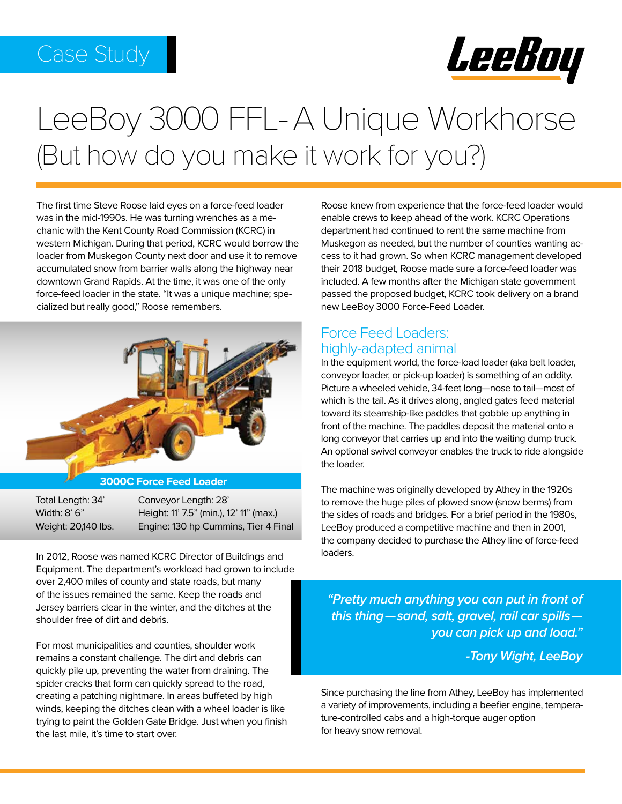## Case Study



# LeeBoy 3000 FFL-A Unique Workhorse (But how do you make it work for you?)

The first time Steve Roose laid eyes on a force-feed loader was in the mid-1990s. He was turning wrenches as a mechanic with the Kent County Road Commission (KCRC) in western Michigan. During that period, KCRC would borrow the loader from Muskegon County next door and use it to remove accumulated snow from barrier walls along the highway near downtown Grand Rapids. At the time, it was one of the only force-feed loader in the state. "It was a unique machine; specialized but really good," Roose remembers.



#### **3000C Force Feed Loader**

Total Length: 34' Conveyor Length: 28' Width: 8' 6" Height: 11' 7.5" (min.), 12' 11" (max.) Weight: 20,140 lbs. Engine: 130 hp Cummins, Tier 4 Final

In 2012, Roose was named KCRC Director of Buildings and Equipment. The department's workload had grown to include over 2,400 miles of county and state roads, but many of the issues remained the same. Keep the roads and Jersey barriers clear in the winter, and the ditches at the shoulder free of dirt and debris.

For most municipalities and counties, shoulder work remains a constant challenge. The dirt and debris can quickly pile up, preventing the water from draining. The spider cracks that form can quickly spread to the road, creating a patching nightmare. In areas buffeted by high winds, keeping the ditches clean with a wheel loader is like trying to paint the Golden Gate Bridge. Just when you finish the last mile, it's time to start over.

Roose knew from experience that the force-feed loader would enable crews to keep ahead of the work. KCRC Operations department had continued to rent the same machine from Muskegon as needed, but the number of counties wanting access to it had grown. So when KCRC management developed their 2018 budget, Roose made sure a force-feed loader was included. A few months after the Michigan state government passed the proposed budget, KCRC took delivery on a brand new LeeBoy 3000 Force-Feed Loader.

#### Force Feed Loaders: highly-adapted animal

In the equipment world, the force-load loader (aka belt loader, conveyor loader, or pick-up loader) is something of an oddity. Picture a wheeled vehicle, 34-feet long—nose to tail—most of which is the tail. As it drives along, angled gates feed material toward its steamship-like paddles that gobble up anything in front of the machine. The paddles deposit the material onto a long conveyor that carries up and into the waiting dump truck. An optional swivel conveyor enables the truck to ride alongside the loader.

The machine was originally developed by Athey in the 1920s to remove the huge piles of plowed snow (snow berms) from the sides of roads and bridges. For a brief period in the 1980s, LeeBoy produced a competitive machine and then in 2001, the company decided to purchase the Athey line of force-feed loaders.

*"Pretty much anything you can put in front of this thing—sand, salt, gravel, rail car spills you can pick up and load."*

*-Tony Wight, LeeBoy*

Since purchasing the line from Athey, LeeBoy has implemented a variety of improvements, including a beefier engine, temperature-controlled cabs and a high-torque auger option for heavy snow removal.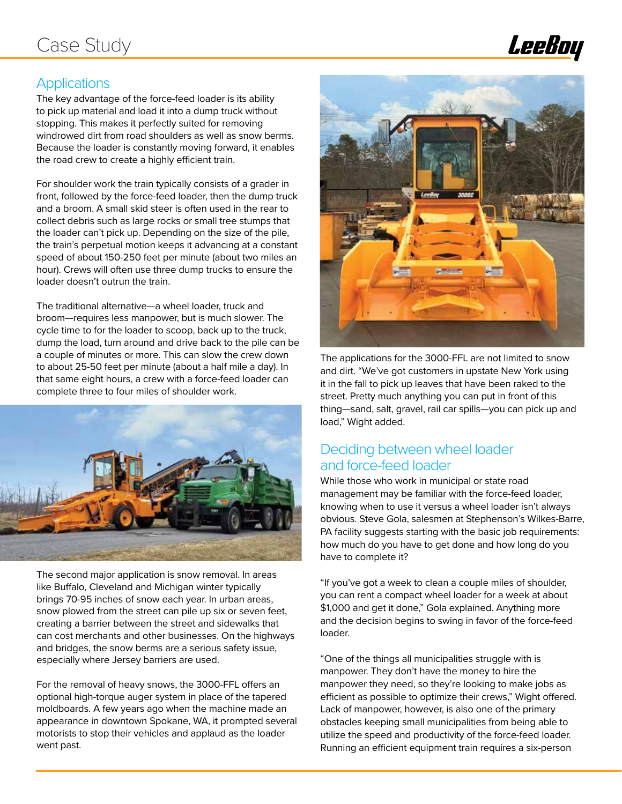

#### **Applications**

The key advantage of the force-feed loader is its ability to pick up material and load it into a dump truck without stopping. This makes it perfectly suited for removing windrowed dirt from road shoulders as well as snow berms. Because the loader is constantly moving forward, it enables the road crew to create a highly efficient train.

For shoulder work the train typically consists of a grader in front, followed by the force-feed loader, then the dump truck and a broom. A small skid steer is often used in the rear to collect debris such as large rocks or small tree stumps that the loader can't pick up. Depending on the size of the pile, the train's perpetual motion keeps it advancing at a constant speed of about 150-250 feet per minute (about two miles an hour). Crews will often use three dump trucks to ensure the loader doesn't outrun the train.

The traditional alternative—a wheel loader, truck and broom—requires less manpower, but is much slower. The cycle time to for the loader to scoop, back up to the truck, dump the load, turn around and drive back to the pile can be a couple of minutes or more. This can slow the crew down to about 25-50 feet per minute (about a half mile a day). In that same eight hours, a crew with a force-feed loader can complete three to four miles of shoulder work.



The second major application is snow removal. In areas like Buffalo, Cleveland and Michigan winter typically brings 70-95 inches of snow each year. In urban areas, snow plowed from the street can pile up six or seven feet, creating a barrier between the street and sidewalks that can cost merchants and other businesses. On the highways and bridges, the snow berms are a serious safety issue, especially where Jersey barriers are used.

For the removal of heavy snows, the 3000-FFL offers an optional high-torque auger system in place of the tapered moldboards. A few years ago when the machine made an appearance in downtown Spokane, WA, it prompted several motorists to stop their vehicles and applaud as the loader went past.



The applications for the 3000-FFL are not limited to snow and dirt. "We've got customers in upstate New York using it in the fall to pick up leaves that have been raked to the street. Pretty much anything you can put in front of this thing—sand, salt, gravel, rail car spills—you can pick up and load," Wight added.

### Deciding between wheel loader and force-feed loader

While those who work in municipal or state road management may be familiar with the force-feed loader, knowing when to use it versus a wheel loader isn't always obvious. Steve Gola, salesmen at Stephenson's Wilkes-Barre, PA facility suggests starting with the basic job requirements: how much do you have to get done and how long do you have to complete it?

"If you've got a week to clean a couple miles of shoulder, you can rent a compact wheel loader for a week at about \$1,000 and get it done," Gola explained. Anything more and the decision begins to swing in favor of the force-feed loader.

"One of the things all municipalities struggle with is manpower. They don't have the money to hire the manpower they need, so they're looking to make jobs as efficient as possible to optimize their crews," Wight offered. Lack of manpower, however, is also one of the primary obstacles keeping small municipalities from being able to utilize the speed and productivity of the force-feed loader. Running an efficient equipment train requires a six-person